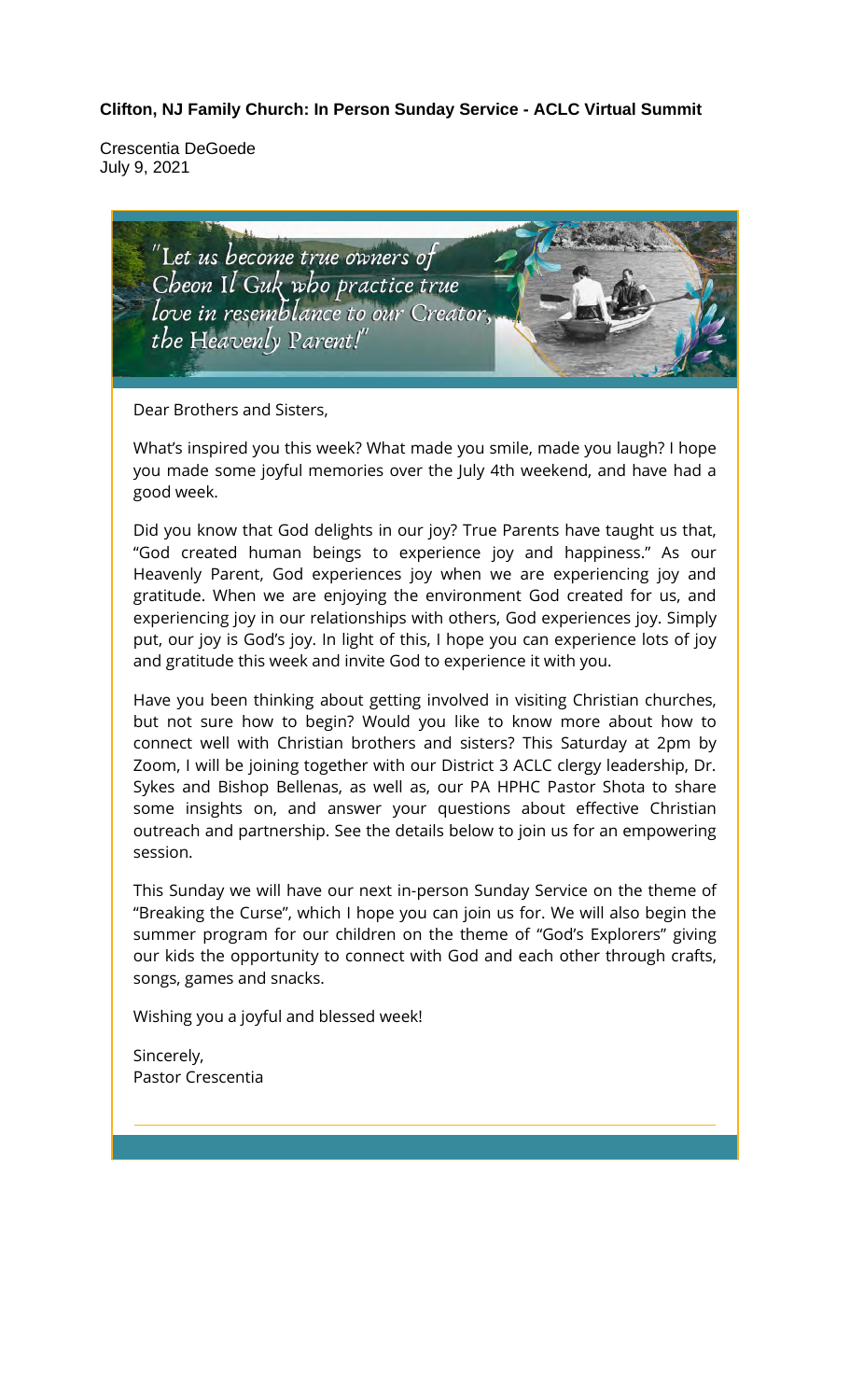#### **Clifton, NJ Family Church: In Person Sunday Service - ACLC Virtual Summit**

Crescentia DeGoede July 9, 2021



Sincerely, Pastor Crescentia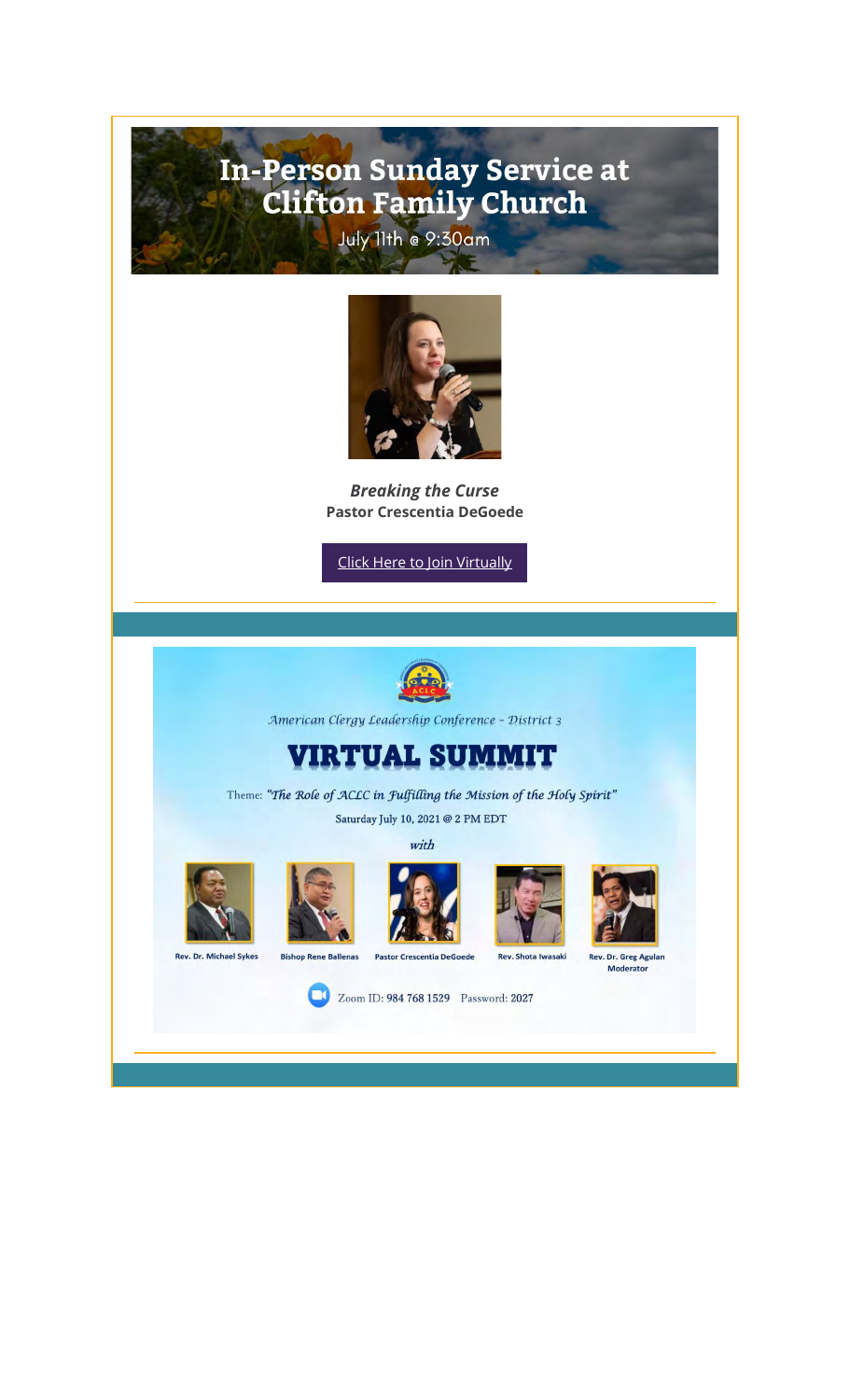# In-Person Sunday Service at<br>Clifton Family Church July 11th @ 9:30am



*Breaking the Curse* **Pastor Crescentia DeGoede**

Click Here to Join Virtually



American Clergy Leadership Conference - District 3

## **VIRTUAL SUMMIT**

Theme: "The Role of ACLC in Fulfilling the Mission of the Holy Spirit" Saturday July 10, 2021 @ 2 PM EDT

with



Rev. Dr. Michael Sykes







Rev. Shota Iwasaki



Rev. Dr. Greg Agular<br>Moderator

Zoom ID: 984 768 1529 Password: 2027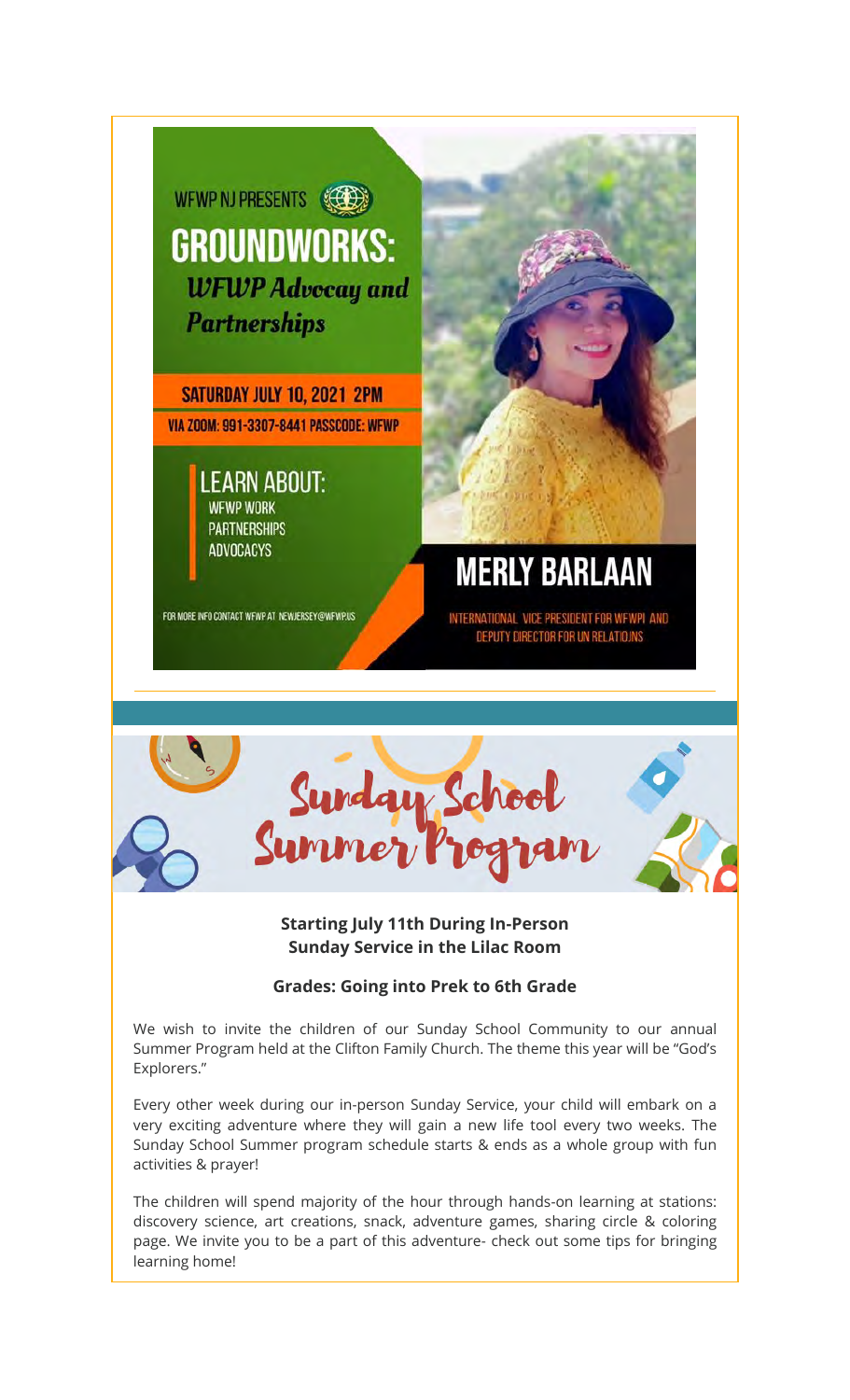

SATURDAY JULY 10, 2021 2PM VIA ZOOM: 991-3307-8441 PASSCODE: WFWP

> **LEARN ABOUT: WFWP WORK PARTNERSHIPS ADVOCACYS**

FOR MORE INFO CONTACT WFWP AT NEWJERSEY@WFWP.US

**MERLY BARLAAN** 

INTERNATIONAL VICE PRESIDENT FOR WFWPI AND DEPUTY DIRECTOR FOR UN RELATION



#### **Starting July 11th During In-Person Sunday Service in the Lilac Room**

#### **Grades: Going into Prek to 6th Grade**

We wish to invite the children of our Sunday School Community to our annual Summer Program held at the Clifton Family Church. The theme this year will be "God's Explorers."

Every other week during our in-person Sunday Service, your child will embark on a very exciting adventure where they will gain a new life tool every two weeks. The Sunday School Summer program schedule starts & ends as a whole group with fun activities & prayer!

The children will spend majority of the hour through hands-on learning at stations: discovery science, art creations, snack, adventure games, sharing circle & coloring page. We invite you to be a part of this adventure- check out some tips for bringing learning home!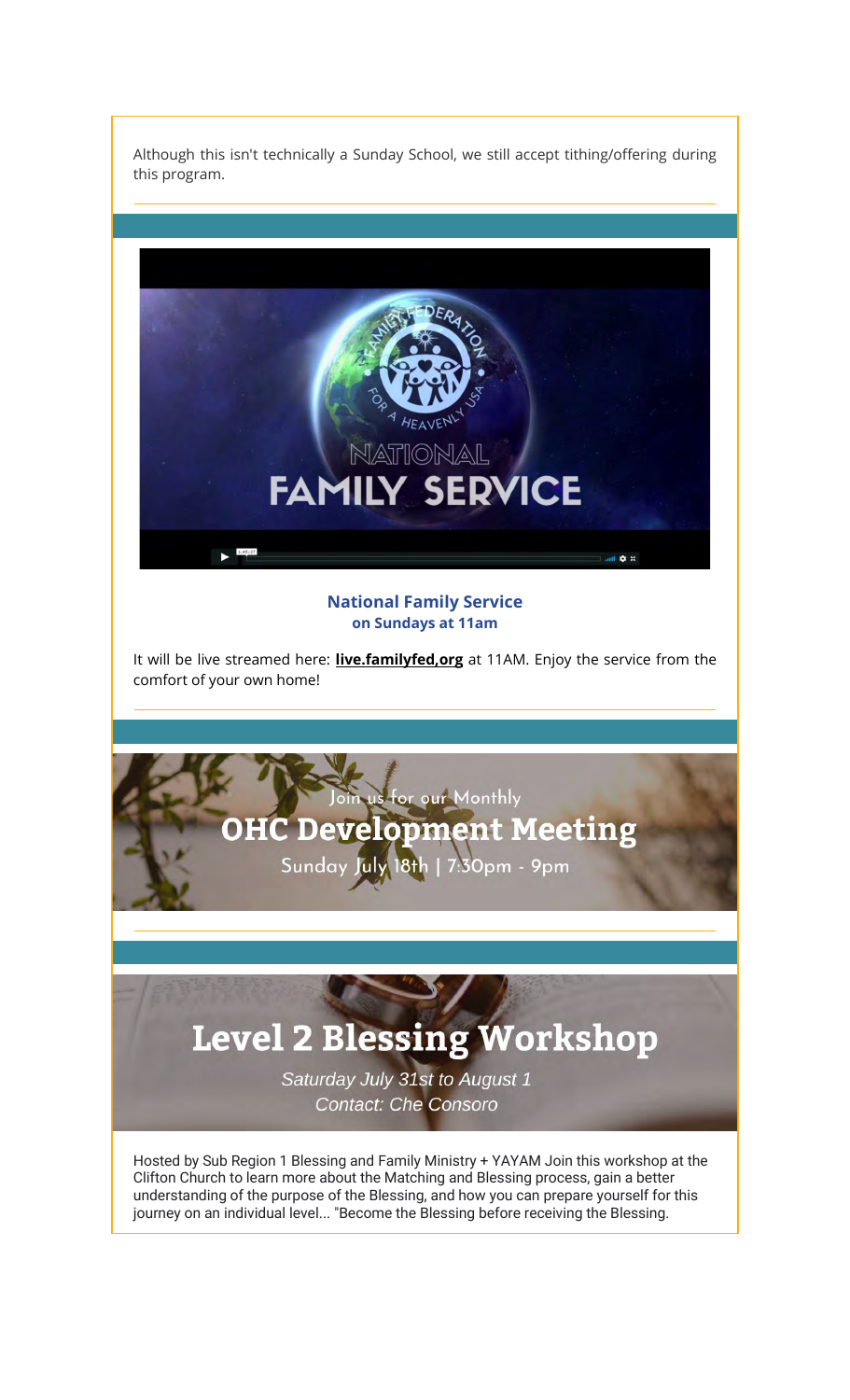Although this isn't technically a Sunday School, we still accept tithing/offering during this program.



**National Family Service on Sundays at 11am**

It will be live streamed here: **live.familyfed,org** at 11AM. Enjoy the service from the comfort of your own home!



Hosted by Sub Region 1 Blessing and Family Ministry + YAYAM Join this workshop at the Clifton Church to learn more about the Matching and Blessing process, gain a better understanding of the purpose of the Blessing, and how you can prepare yourself for this journey on an individual level... "Become the Blessing before receiving the Blessing.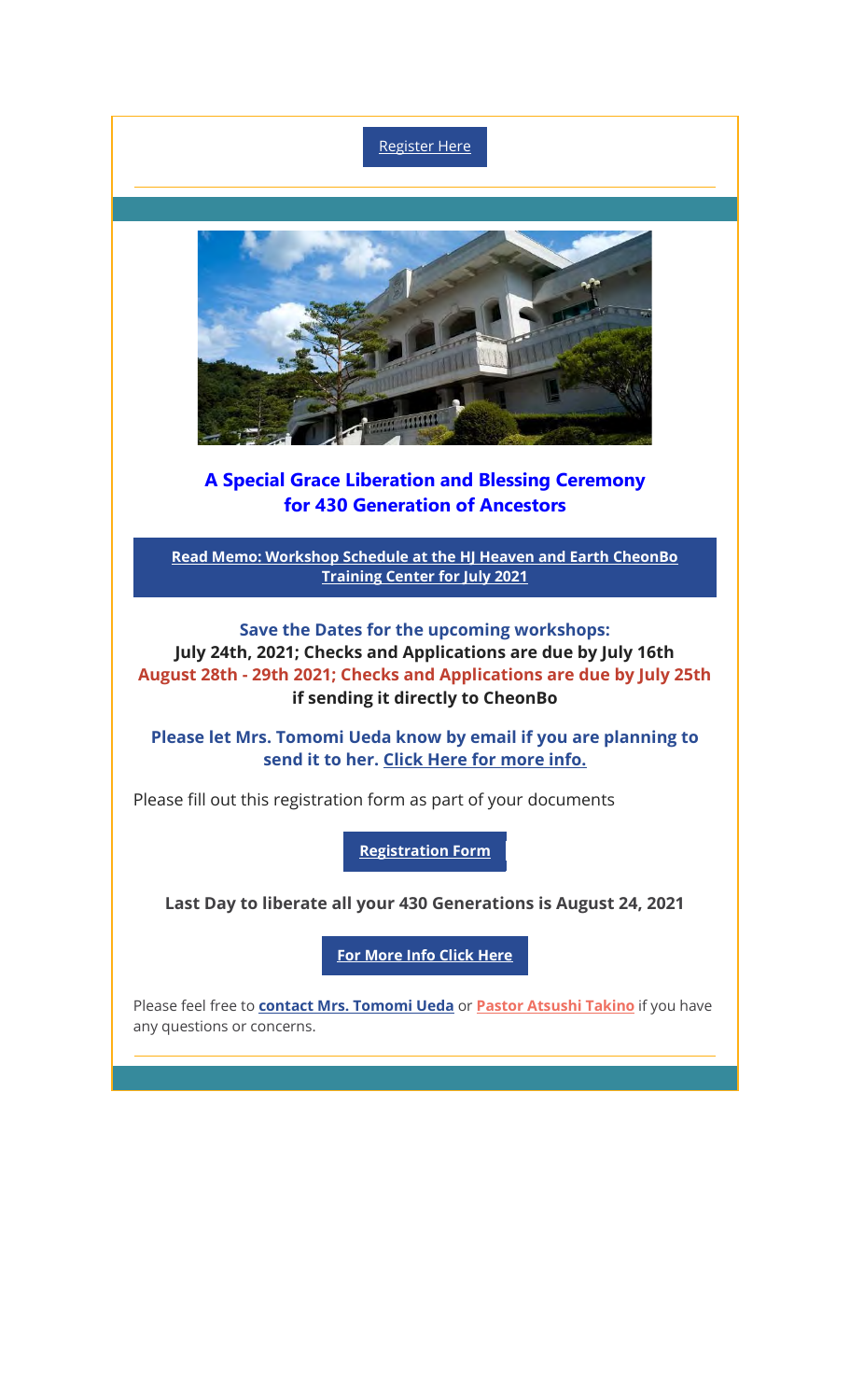Register Here



### A Special Grace Liberation and Blessing Ceremony for 430 Generation of Ancestors

**Read Memo: Workshop Schedule at the HJ Heaven and Earth CheonBo Training Center for July 2021**

**Save the Dates for the upcoming workshops: July 24th, 2021; Checks and Applications are due by July 16th August 28th - 29th 2021; Checks and Applications are due by July 25th if sending it directly to CheonBo**

**Please let Mrs. Tomomi Ueda know by email if you are planning to send it to her. Click Here for more info.**

Please fill out this registration form as part of your documents

**Registration Form**

**Last Day to liberate all your 430 Generations is August 24, 2021**

**For More Info Click Here**

Please feel free to **contact Mrs. Tomomi Ueda** or **Pastor Atsushi Takino** if you have any questions or concerns.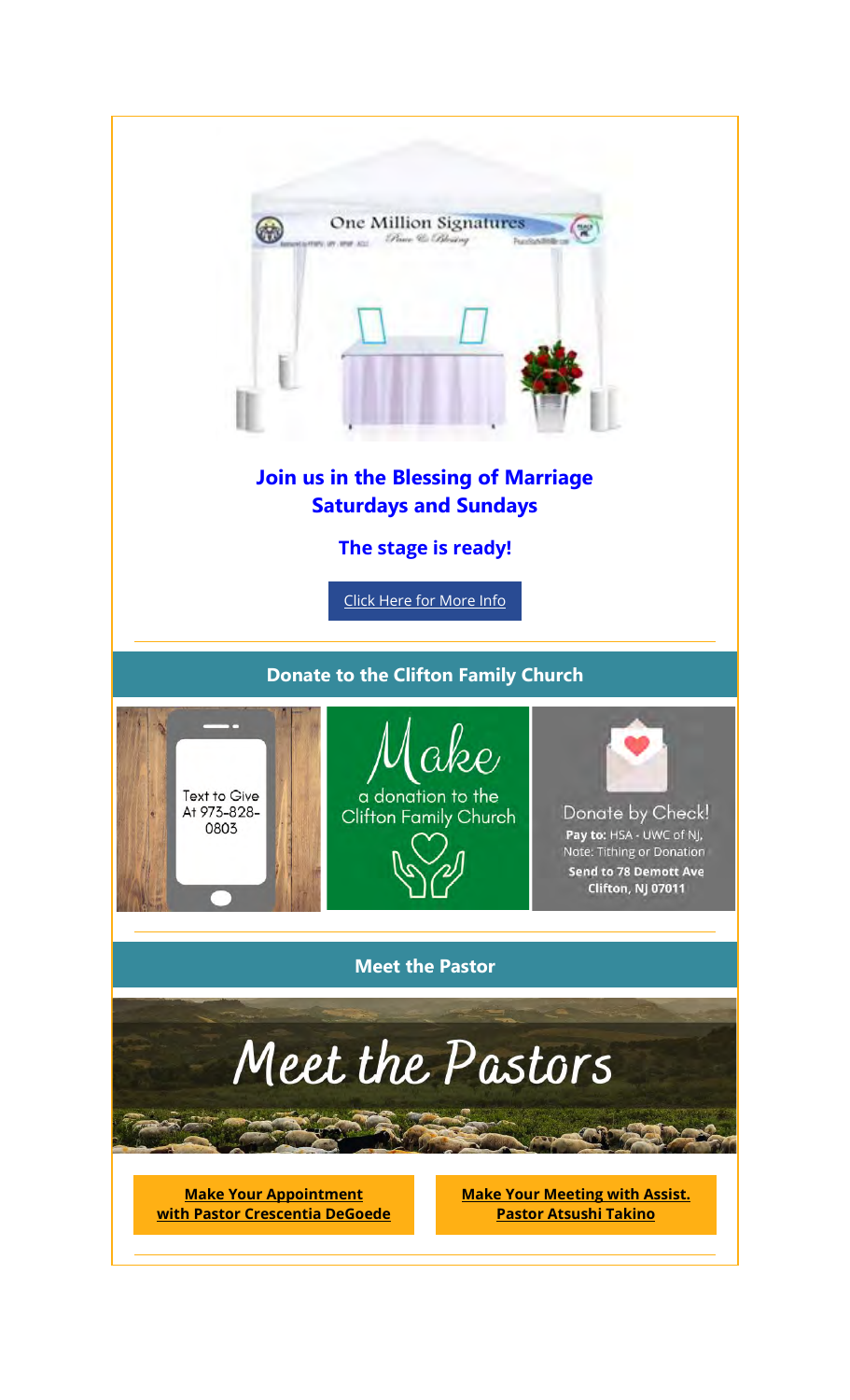